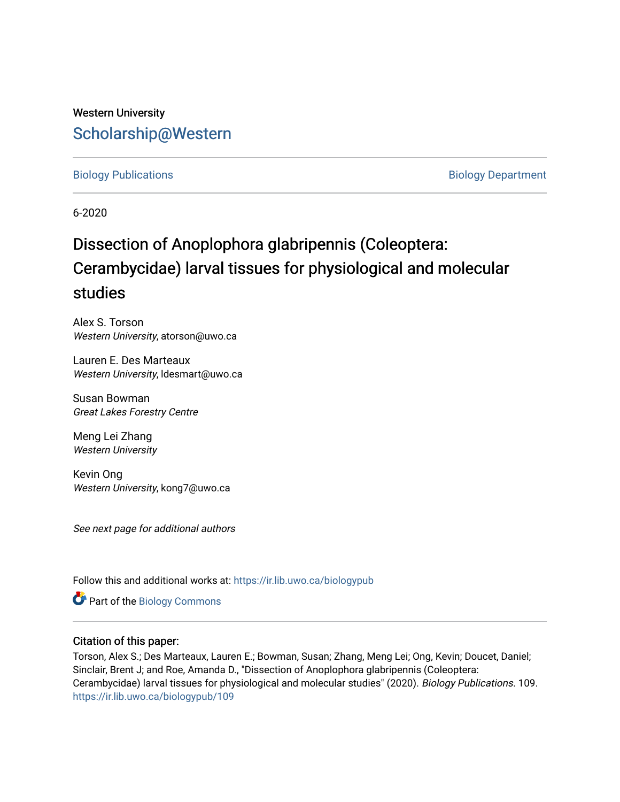## Western University [Scholarship@Western](https://ir.lib.uwo.ca/)

## [Biology Publications](https://ir.lib.uwo.ca/biologypub) **Biology Department**

6-2020

# Dissection of Anoplophora glabripennis (Coleoptera: Cerambycidae) larval tissues for physiological and molecular studies

Alex S. Torson Western University, atorson@uwo.ca

Lauren E. Des Marteaux Western University, Idesmart@uwo.ca

Susan Bowman Great Lakes Forestry Centre

Meng Lei Zhang Western University

Kevin Ong Western University, kong7@uwo.ca

See next page for additional authors

Follow this and additional works at: [https://ir.lib.uwo.ca/biologypub](https://ir.lib.uwo.ca/biologypub?utm_source=ir.lib.uwo.ca%2Fbiologypub%2F109&utm_medium=PDF&utm_campaign=PDFCoverPages)

Part of the [Biology Commons](http://network.bepress.com/hgg/discipline/41?utm_source=ir.lib.uwo.ca%2Fbiologypub%2F109&utm_medium=PDF&utm_campaign=PDFCoverPages) 

## Citation of this paper:

Torson, Alex S.; Des Marteaux, Lauren E.; Bowman, Susan; Zhang, Meng Lei; Ong, Kevin; Doucet, Daniel; Sinclair, Brent J; and Roe, Amanda D., "Dissection of Anoplophora glabripennis (Coleoptera: Cerambycidae) larval tissues for physiological and molecular studies" (2020). Biology Publications. 109. [https://ir.lib.uwo.ca/biologypub/109](https://ir.lib.uwo.ca/biologypub/109?utm_source=ir.lib.uwo.ca%2Fbiologypub%2F109&utm_medium=PDF&utm_campaign=PDFCoverPages)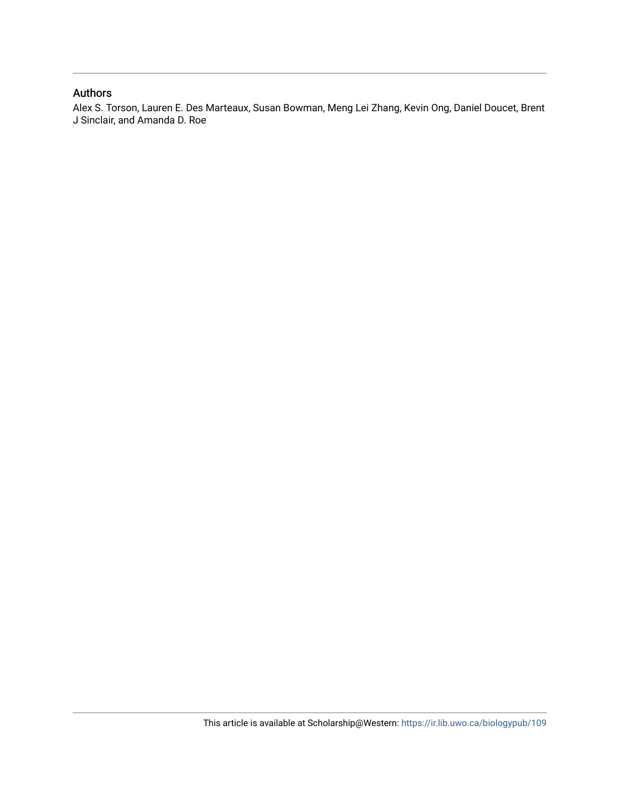## Authors

Alex S. Torson, Lauren E. Des Marteaux, Susan Bowman, Meng Lei Zhang, Kevin Ong, Daniel Doucet, Brent J Sinclair, and Amanda D. Roe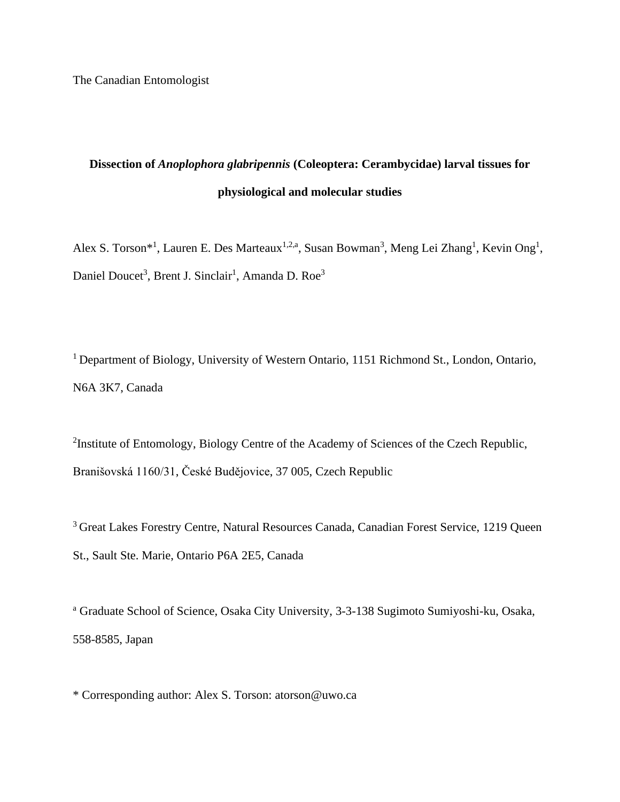## **Dissection of** *Anoplophora glabripennis* **(Coleoptera: Cerambycidae) larval tissues for physiological and molecular studies**

Alex S. Torson<sup>\*1</sup>, Lauren E. Des Marteaux<sup>1,2,a</sup>, Susan Bowman<sup>3</sup>, Meng Lei Zhang<sup>1</sup>, Kevin Ong<sup>1</sup>, Daniel Doucet<sup>3</sup>, Brent J. Sinclair<sup>1</sup>, Amanda D. Roe<sup>3</sup>

<sup>1</sup> Department of Biology, University of Western Ontario, 1151 Richmond St., London, Ontario, N6A 3K7, Canada

<sup>2</sup>Institute of Entomology, Biology Centre of the Academy of Sciences of the Czech Republic, Branišovská 1160/31, České Budějovice, 37 005, Czech Republic

<sup>3</sup> Great Lakes Forestry Centre, Natural Resources Canada, Canadian Forest Service, 1219 Queen St., Sault Ste. Marie, Ontario P6A 2E5, Canada

<sup>a</sup> Graduate School of Science, Osaka City University, 3-3-138 Sugimoto Sumiyoshi-ku, Osaka, 558-8585, Japan

\* Corresponding author: Alex S. Torson: atorson@uwo.ca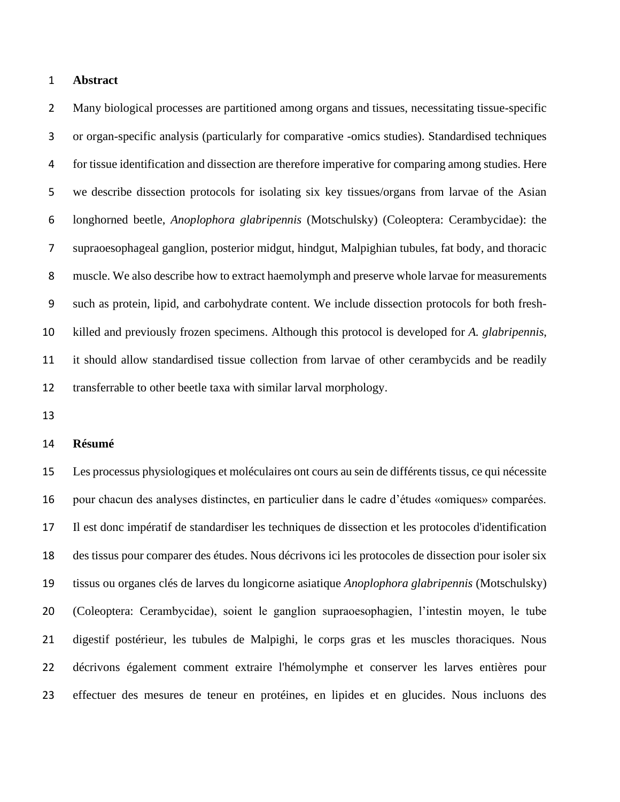## **Abstract**

 Many biological processes are partitioned among organs and tissues, necessitating tissue-specific or organ-specific analysis (particularly for comparative -omics studies). Standardised techniques for tissue identification and dissection are therefore imperative for comparing among studies. Here we describe dissection protocols for isolating six key tissues/organs from larvae of the Asian longhorned beetle, *Anoplophora glabripennis* (Motschulsky) (Coleoptera: Cerambycidae): the supraoesophageal ganglion, posterior midgut, hindgut, Malpighian tubules, fat body, and thoracic muscle. We also describe how to extract haemolymph and preserve whole larvae for measurements such as protein, lipid, and carbohydrate content. We include dissection protocols for both fresh- killed and previously frozen specimens. Although this protocol is developed for *A. glabripennis*, it should allow standardised tissue collection from larvae of other cerambycids and be readily transferrable to other beetle taxa with similar larval morphology.

#### **Résumé**

 Les processus physiologiques et moléculaires ont cours au sein de différents tissus, ce qui nécessite pour chacun des analyses distinctes, en particulier dans le cadre d'études «omiques» comparées. Il est donc impératif de standardiser les techniques de dissection et les protocoles d'identification des tissus pour comparer des études. Nous décrivons ici les protocoles de dissection pour isoler six tissus ou organes clés de larves du longicorne asiatique *Anoplophora glabripennis* (Motschulsky) (Coleoptera: Cerambycidae), soient le ganglion supraoesophagien, l'intestin moyen, le tube digestif postérieur, les tubules de Malpighi, le corps gras et les muscles thoraciques. Nous décrivons également comment extraire l'hémolymphe et conserver les larves entières pour effectuer des mesures de teneur en protéines, en lipides et en glucides. Nous incluons des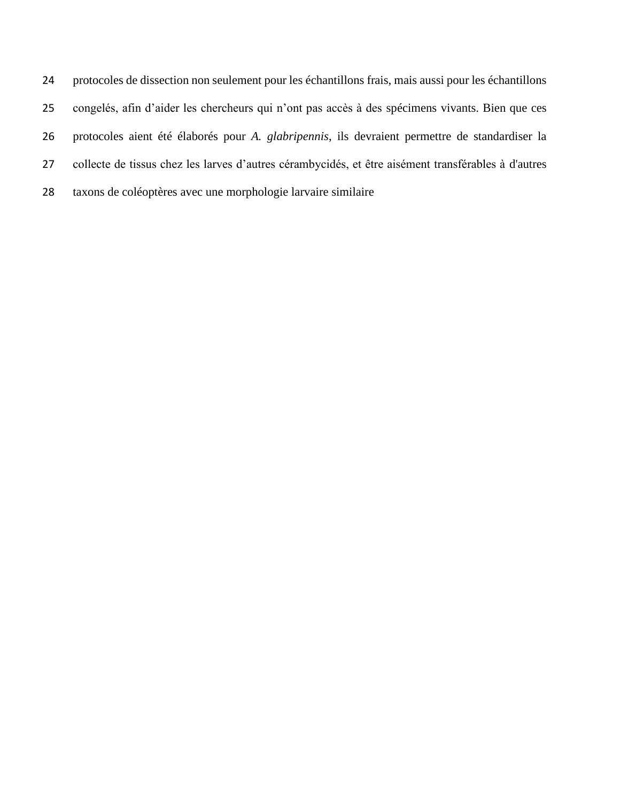protocoles de dissection non seulement pour les échantillons frais, mais aussi pour les échantillons congelés, afin d'aider les chercheurs qui n'ont pas accès à des spécimens vivants. Bien que ces protocoles aient été élaborés pour *A. glabripennis*, ils devraient permettre de standardiser la collecte de tissus chez les larves d'autres cérambycidés, et être aisément transférables à d'autres taxons de coléoptères avec une morphologie larvaire similaire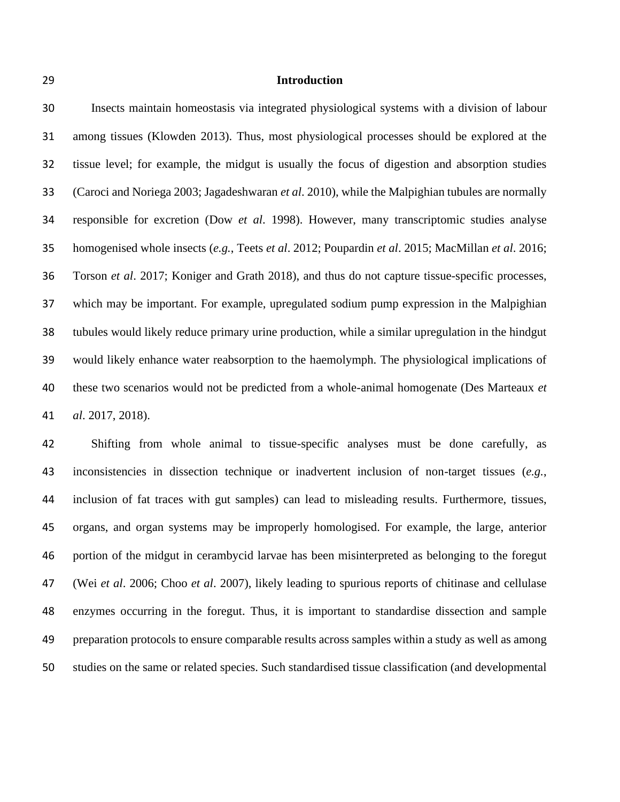#### **Introduction**

 Insects maintain homeostasis via integrated physiological systems with a division of labour among tissues (Klowden 2013). Thus, most physiological processes should be explored at the tissue level; for example, the midgut is usually the focus of digestion and absorption studies (Caroci and Noriega 2003; Jagadeshwaran *et al*. 2010), while the Malpighian tubules are normally responsible for excretion (Dow *et al*. 1998). However, many transcriptomic studies analyse homogenised whole insects (*e.g.*, Teets *et al*. 2012; Poupardin *et al*. 2015; MacMillan *et al*. 2016; Torson *et al*. 2017; Koniger and Grath 2018), and thus do not capture tissue-specific processes, which may be important. For example, upregulated sodium pump expression in the Malpighian tubules would likely reduce primary urine production, while a similar upregulation in the hindgut would likely enhance water reabsorption to the haemolymph. The physiological implications of these two scenarios would not be predicted from a whole-animal homogenate (Des Marteaux *et al*. 2017, 2018).

 Shifting from whole animal to tissue-specific analyses must be done carefully, as inconsistencies in dissection technique or inadvertent inclusion of non-target tissues (*e.g.*, inclusion of fat traces with gut samples) can lead to misleading results. Furthermore, tissues, organs, and organ systems may be improperly homologised. For example, the large, anterior portion of the midgut in cerambycid larvae has been misinterpreted as belonging to the foregut (Wei *et al*. 2006; Choo *et al*. 2007), likely leading to spurious reports of chitinase and cellulase enzymes occurring in the foregut. Thus, it is important to standardise dissection and sample preparation protocols to ensure comparable results across samples within a study as well as among studies on the same or related species. Such standardised tissue classification (and developmental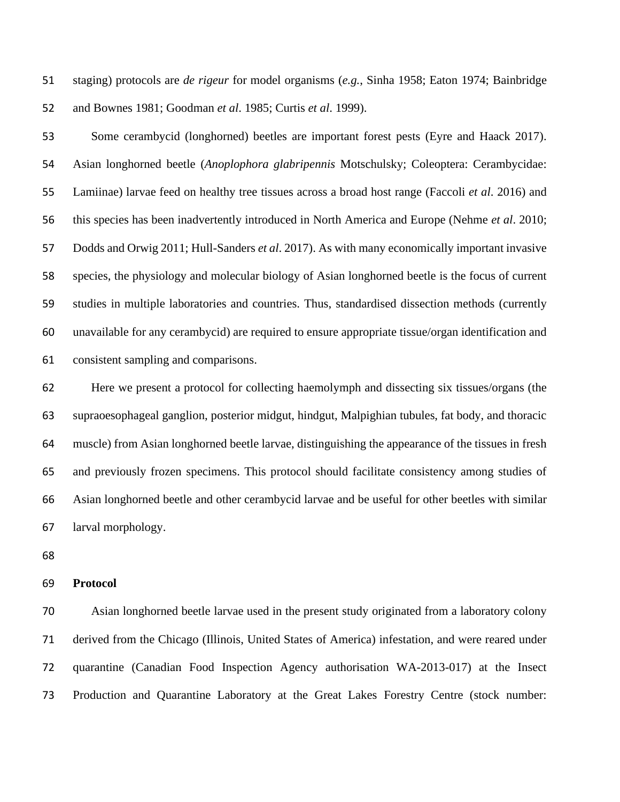staging) protocols are *de rigeur* for model organisms (*e.g.*, Sinha 1958; Eaton 1974; Bainbridge and Bownes 1981; Goodman *et al*. 1985; Curtis *et al*. 1999).

 Some cerambycid (longhorned) beetles are important forest pests (Eyre and Haack 2017). Asian longhorned beetle (*Anoplophora glabripennis* Motschulsky; Coleoptera: Cerambycidae: Lamiinae) larvae feed on healthy tree tissues across a broad host range (Faccoli *et al*. 2016) and this species has been inadvertently introduced in North America and Europe (Nehme *et al*. 2010; Dodds and Orwig 2011; Hull-Sanders *et al*. 2017). As with many economically important invasive species, the physiology and molecular biology of Asian longhorned beetle is the focus of current studies in multiple laboratories and countries. Thus, standardised dissection methods (currently unavailable for any cerambycid) are required to ensure appropriate tissue/organ identification and consistent sampling and comparisons.

 Here we present a protocol for collecting haemolymph and dissecting six tissues/organs (the supraoesophageal ganglion, posterior midgut, hindgut, Malpighian tubules, fat body, and thoracic muscle) from Asian longhorned beetle larvae, distinguishing the appearance of the tissues in fresh and previously frozen specimens. This protocol should facilitate consistency among studies of Asian longhorned beetle and other cerambycid larvae and be useful for other beetles with similar larval morphology.

#### **Protocol**

 Asian longhorned beetle larvae used in the present study originated from a laboratory colony derived from the Chicago (Illinois, United States of America) infestation, and were reared under quarantine (Canadian Food Inspection Agency authorisation WA-2013-017) at the Insect Production and Quarantine Laboratory at the Great Lakes Forestry Centre (stock number: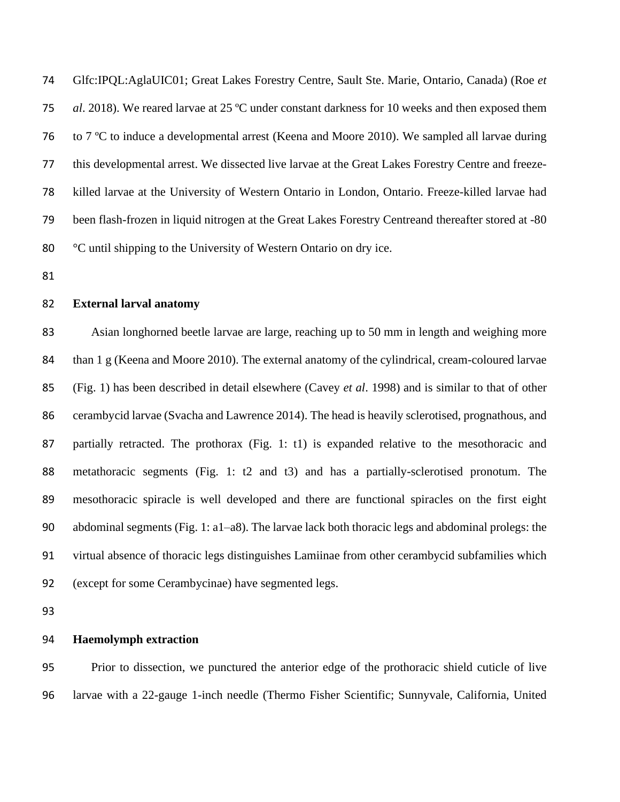Glfc:IPQL:AglaUIC01; Great Lakes Forestry Centre, Sault Ste. Marie, Ontario, Canada) (Roe *et al*. 2018). We reared larvae at 25 ºC under constant darkness for 10 weeks and then exposed them to 7 ºC to induce a developmental arrest (Keena and Moore 2010). We sampled all larvae during this developmental arrest. We dissected live larvae at the Great Lakes Forestry Centre and freeze- killed larvae at the University of Western Ontario in London, Ontario. Freeze-killed larvae had been flash-frozen in liquid nitrogen at the Great Lakes Forestry Centreand thereafter stored at -80 °C until shipping to the University of Western Ontario on dry ice.

#### **External larval anatomy**

 Asian longhorned beetle larvae are large, reaching up to 50 mm in length and weighing more than 1 g (Keena and Moore 2010). The external anatomy of the cylindrical, cream-coloured larvae (Fig. 1) has been described in detail elsewhere (Cavey *et al*. 1998) and is similar to that of other cerambycid larvae (Svacha and Lawrence 2014). The head is heavily sclerotised, prognathous, and 87 partially retracted. The prothorax (Fig. 1: t1) is expanded relative to the mesothoracic and metathoracic segments (Fig. 1: t2 and t3) and has a partially-sclerotised pronotum. The mesothoracic spiracle is well developed and there are functional spiracles on the first eight abdominal segments (Fig. 1: a1–a8). The larvae lack both thoracic legs and abdominal prolegs: the virtual absence of thoracic legs distinguishes Lamiinae from other cerambycid subfamilies which (except for some Cerambycinae) have segmented legs.

## **Haemolymph extraction**

 Prior to dissection, we punctured the anterior edge of the prothoracic shield cuticle of live larvae with a 22-gauge 1-inch needle (Thermo Fisher Scientific; Sunnyvale, California, United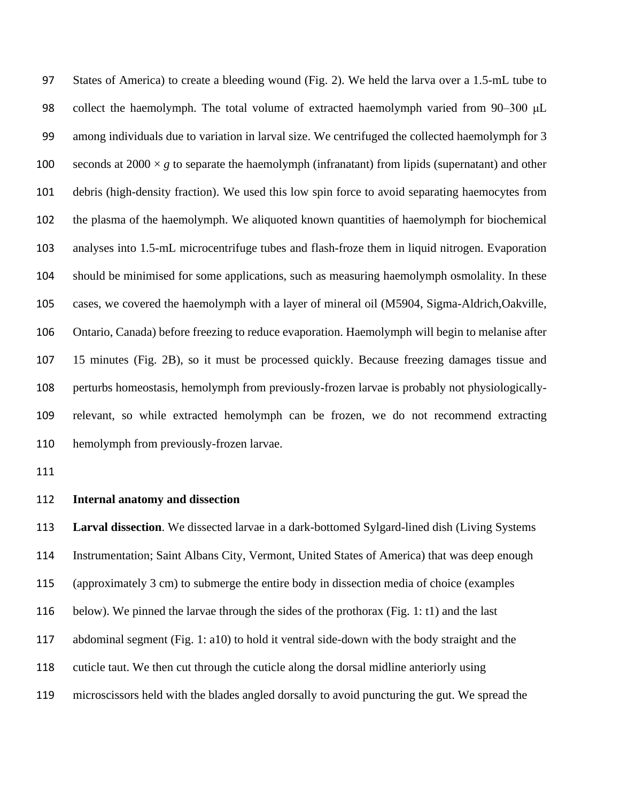States of America) to create a bleeding wound (Fig. 2). We held the larva over a 1.5-mL tube to collect the haemolymph. The total volume of extracted haemolymph varied from 90–300 μL among individuals due to variation in larval size. We centrifuged the collected haemolymph for 3 100 seconds at  $2000 \times g$  to separate the haemolymph (infranatant) from lipids (supernatant) and other debris (high-density fraction). We used this low spin force to avoid separating haemocytes from the plasma of the haemolymph. We aliquoted known quantities of haemolymph for biochemical analyses into 1.5-mL microcentrifuge tubes and flash-froze them in liquid nitrogen. Evaporation should be minimised for some applications, such as measuring haemolymph osmolality. In these cases, we covered the haemolymph with a layer of mineral oil (M5904, Sigma-Aldrich,Oakville, Ontario, Canada) before freezing to reduce evaporation. Haemolymph will begin to melanise after 15 minutes (Fig. 2B), so it must be processed quickly. Because freezing damages tissue and perturbs homeostasis, hemolymph from previously-frozen larvae is probably not physiologically- relevant, so while extracted hemolymph can be frozen, we do not recommend extracting hemolymph from previously-frozen larvae.

#### **Internal anatomy and dissection**

 **Larval dissection**. We dissected larvae in a dark-bottomed Sylgard-lined dish (Living Systems Instrumentation; Saint Albans City, Vermont, United States of America) that was deep enough (approximately 3 cm) to submerge the entire body in dissection media of choice (examples below). We pinned the larvae through the sides of the prothorax (Fig. 1: t1) and the last abdominal segment (Fig. 1: a10) to hold it ventral side-down with the body straight and the cuticle taut. We then cut through the cuticle along the dorsal midline anteriorly using microscissors held with the blades angled dorsally to avoid puncturing the gut. We spread the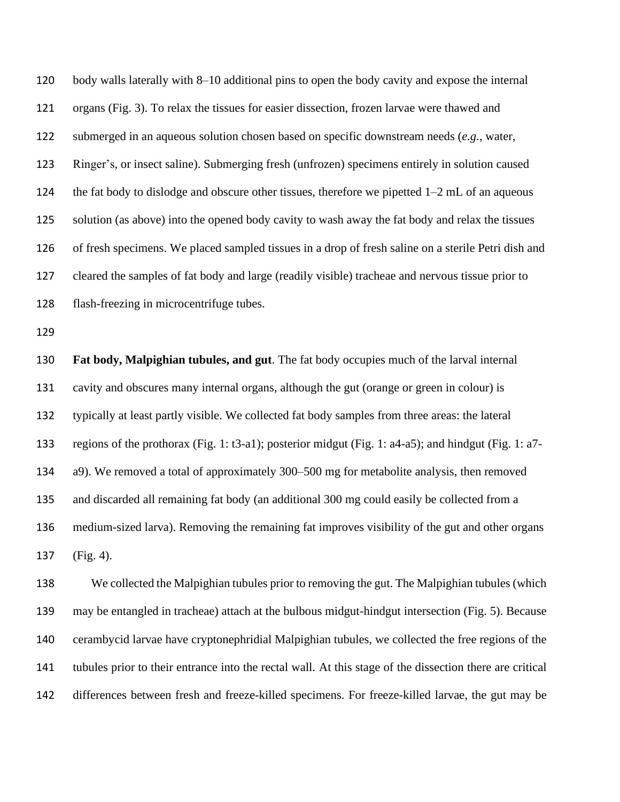body walls laterally with 8–10 additional pins to open the body cavity and expose the internal organs (Fig. 3). To relax the tissues for easier dissection, frozen larvae were thawed and submerged in an aqueous solution chosen based on specific downstream needs (*e.g.*, water, Ringer's, or insect saline). Submerging fresh (unfrozen) specimens entirely in solution caused the fat body to dislodge and obscure other tissues, therefore we pipetted 1–2 mL of an aqueous solution (as above) into the opened body cavity to wash away the fat body and relax the tissues of fresh specimens. We placed sampled tissues in a drop of fresh saline on a sterile Petri dish and cleared the samples of fat body and large (readily visible) tracheae and nervous tissue prior to flash-freezing in microcentrifuge tubes.

 **Fat body, Malpighian tubules, and gut**. The fat body occupies much of the larval internal cavity and obscures many internal organs, although the gut (orange or green in colour) is typically at least partly visible. We collected fat body samples from three areas: the lateral regions of the prothorax (Fig. 1: t3-a1); posterior midgut (Fig. 1: a4-a5); and hindgut (Fig. 1: a7- a9). We removed a total of approximately 300–500 mg for metabolite analysis, then removed and discarded all remaining fat body (an additional 300 mg could easily be collected from a medium-sized larva). Removing the remaining fat improves visibility of the gut and other organs (Fig. 4).

 We collected the Malpighian tubules prior to removing the gut. The Malpighian tubules (which may be entangled in tracheae) attach at the bulbous midgut-hindgut intersection (Fig. 5). Because cerambycid larvae have cryptonephridial Malpighian tubules, we collected the free regions of the tubules prior to their entrance into the rectal wall. At this stage of the dissection there are critical differences between fresh and freeze-killed specimens. For freeze-killed larvae, the gut may be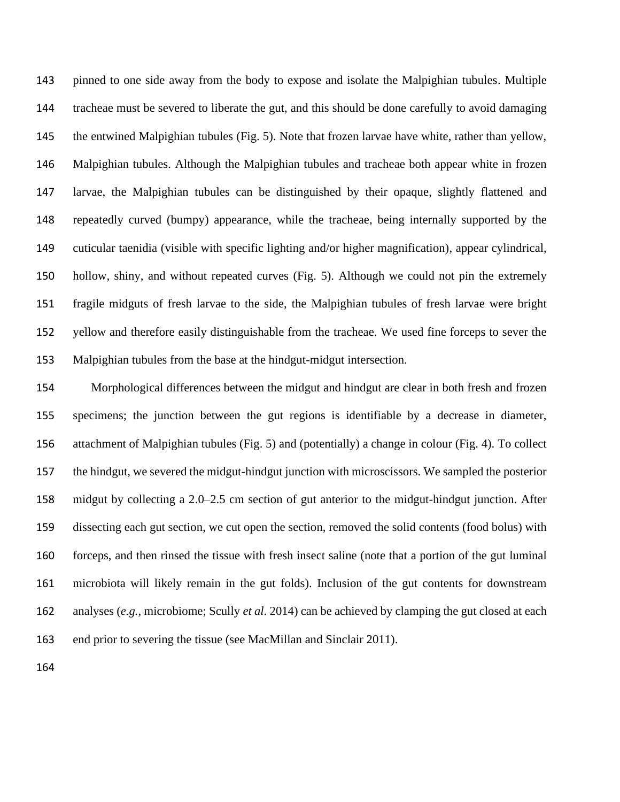pinned to one side away from the body to expose and isolate the Malpighian tubules. Multiple tracheae must be severed to liberate the gut, and this should be done carefully to avoid damaging the entwined Malpighian tubules (Fig. 5). Note that frozen larvae have white, rather than yellow, Malpighian tubules. Although the Malpighian tubules and tracheae both appear white in frozen larvae, the Malpighian tubules can be distinguished by their opaque, slightly flattened and repeatedly curved (bumpy) appearance, while the tracheae, being internally supported by the cuticular taenidia (visible with specific lighting and/or higher magnification), appear cylindrical, hollow, shiny, and without repeated curves (Fig. 5). Although we could not pin the extremely fragile midguts of fresh larvae to the side, the Malpighian tubules of fresh larvae were bright yellow and therefore easily distinguishable from the tracheae. We used fine forceps to sever the Malpighian tubules from the base at the hindgut-midgut intersection.

 Morphological differences between the midgut and hindgut are clear in both fresh and frozen specimens; the junction between the gut regions is identifiable by a decrease in diameter, attachment of Malpighian tubules (Fig. 5) and (potentially) a change in colour (Fig. 4). To collect the hindgut, we severed the midgut-hindgut junction with microscissors. We sampled the posterior midgut by collecting a 2.0–2.5 cm section of gut anterior to the midgut-hindgut junction. After dissecting each gut section, we cut open the section, removed the solid contents (food bolus) with forceps, and then rinsed the tissue with fresh insect saline (note that a portion of the gut luminal microbiota will likely remain in the gut folds). Inclusion of the gut contents for downstream analyses (*e.g.*, microbiome; Scully *et al*. 2014) can be achieved by clamping the gut closed at each end prior to severing the tissue (see MacMillan and Sinclair 2011).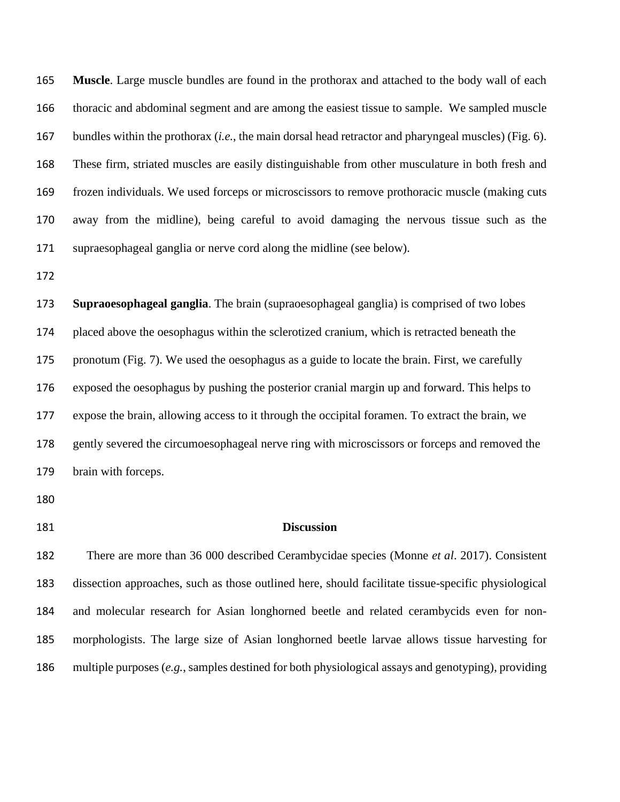**Muscle**. Large muscle bundles are found in the prothorax and attached to the body wall of each thoracic and abdominal segment and are among the easiest tissue to sample. We sampled muscle bundles within the prothorax (*i.e.*, the main dorsal head retractor and pharyngeal muscles) (Fig. 6). These firm, striated muscles are easily distinguishable from other musculature in both fresh and frozen individuals. We used forceps or microscissors to remove prothoracic muscle (making cuts away from the midline), being careful to avoid damaging the nervous tissue such as the supraesophageal ganglia or nerve cord along the midline (see below).

 **Supraoesophageal ganglia**. The brain (supraoesophageal ganglia) is comprised of two lobes placed above the oesophagus within the sclerotized cranium, which is retracted beneath the pronotum (Fig. 7). We used the oesophagus as a guide to locate the brain. First, we carefully exposed the oesophagus by pushing the posterior cranial margin up and forward. This helps to expose the brain, allowing access to it through the occipital foramen. To extract the brain, we gently severed the circumoesophageal nerve ring with microscissors or forceps and removed the brain with forceps.

## **Discussion**

 There are more than 36 000 described Cerambycidae species (Monne *et al*. 2017). Consistent dissection approaches, such as those outlined here, should facilitate tissue-specific physiological and molecular research for Asian longhorned beetle and related cerambycids even for non- morphologists. The large size of Asian longhorned beetle larvae allows tissue harvesting for multiple purposes (*e.g.*, samples destined for both physiological assays and genotyping), providing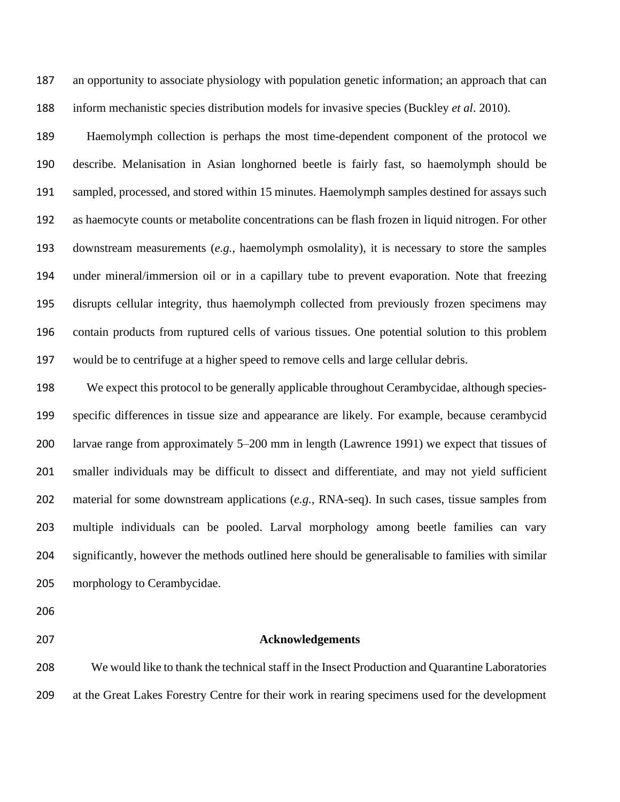an opportunity to associate physiology with population genetic information; an approach that can inform mechanistic species distribution models for invasive species (Buckley *et al*. 2010).

 Haemolymph collection is perhaps the most time-dependent component of the protocol we describe. Melanisation in Asian longhorned beetle is fairly fast, so haemolymph should be sampled, processed, and stored within 15 minutes. Haemolymph samples destined for assays such as haemocyte counts or metabolite concentrations can be flash frozen in liquid nitrogen. For other downstream measurements (*e.g.*, haemolymph osmolality), it is necessary to store the samples under mineral/immersion oil or in a capillary tube to prevent evaporation. Note that freezing disrupts cellular integrity, thus haemolymph collected from previously frozen specimens may contain products from ruptured cells of various tissues. One potential solution to this problem would be to centrifuge at a higher speed to remove cells and large cellular debris.

 We expect this protocol to be generally applicable throughout Cerambycidae, although species- specific differences in tissue size and appearance are likely. For example, because cerambycid larvae range from approximately 5–200 mm in length (Lawrence 1991) we expect that tissues of smaller individuals may be difficult to dissect and differentiate, and may not yield sufficient material for some downstream applications (*e.g.*, RNA-seq). In such cases, tissue samples from multiple individuals can be pooled. Larval morphology among beetle families can vary significantly, however the methods outlined here should be generalisable to families with similar morphology to Cerambycidae.

#### **Acknowledgements**

 We would like to thank the technical staff in the Insect Production and Quarantine Laboratories at the Great Lakes Forestry Centre for their work in rearing specimens used for the development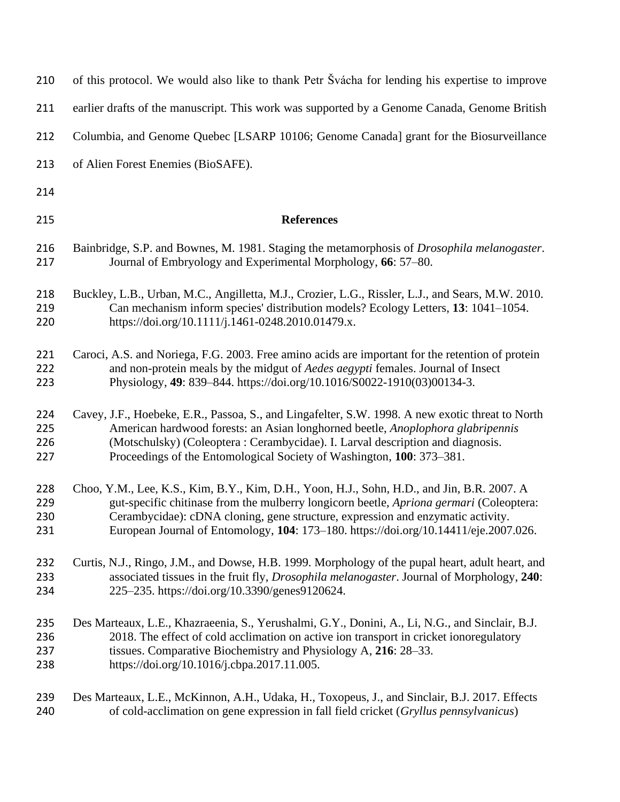| 210 | of this protocol. We would also like to thank Petr Svácha for lending his expertise to improve      |
|-----|-----------------------------------------------------------------------------------------------------|
| 211 | earlier drafts of the manuscript. This work was supported by a Genome Canada, Genome British        |
| 212 | Columbia, and Genome Quebec [LSARP 10106; Genome Canada] grant for the Biosurveillance              |
| 213 | of Alien Forest Enemies (BioSAFE).                                                                  |
| 214 |                                                                                                     |
| 215 | <b>References</b>                                                                                   |
| 216 | Bainbridge, S.P. and Bownes, M. 1981. Staging the metamorphosis of <i>Drosophila melanogaster</i> . |
| 217 | Journal of Embryology and Experimental Morphology, 66: 57–80.                                       |
| 218 | Buckley, L.B., Urban, M.C., Angilletta, M.J., Crozier, L.G., Rissler, L.J., and Sears, M.W. 2010.   |
| 219 | Can mechanism inform species' distribution models? Ecology Letters, 13: 1041-1054.                  |
| 220 | https://doi.org/10.1111/j.1461-0248.2010.01479.x.                                                   |
| 221 | Caroci, A.S. and Noriega, F.G. 2003. Free amino acids are important for the retention of protein    |
| 222 | and non-protein meals by the midgut of <i>Aedes aegypti</i> females. Journal of Insect              |
| 223 | Physiology, 49: 839-844. https://doi.org/10.1016/S0022-1910(03)00134-3.                             |
| 224 | Cavey, J.F., Hoebeke, E.R., Passoa, S., and Lingafelter, S.W. 1998. A new exotic threat to North    |
| 225 | American hardwood forests: an Asian longhorned beetle, <i>Anoplophora glabripennis</i>              |
| 226 | (Motschulsky) (Coleoptera: Cerambycidae). I. Larval description and diagnosis.                      |
| 227 | Proceedings of the Entomological Society of Washington, 100: 373–381.                               |
| 228 | Choo, Y.M., Lee, K.S., Kim, B.Y., Kim, D.H., Yoon, H.J., Sohn, H.D., and Jin, B.R. 2007. A          |
| 229 | gut-specific chitinase from the mulberry longicorn beetle, Apriona germari (Coleoptera:             |
| 230 | Cerambycidae): cDNA cloning, gene structure, expression and enzymatic activity.                     |
| 231 | European Journal of Entomology, 104: 173-180. https://doi.org/10.14411/eje.2007.026.                |
| 232 | Curtis, N.J., Ringo, J.M., and Dowse, H.B. 1999. Morphology of the pupal heart, adult heart, and    |
| 233 | associated tissues in the fruit fly, <i>Drosophila melanogaster</i> . Journal of Morphology, 240:   |
| 234 | 225–235. https://doi.org/10.3390/genes9120624.                                                      |
| 235 | Des Marteaux, L.E., Khazraeenia, S., Yerushalmi, G.Y., Donini, A., Li, N.G., and Sinclair, B.J.     |
| 236 | 2018. The effect of cold acclimation on active ion transport in cricket ionoregulatory              |
| 237 | tissues. Comparative Biochemistry and Physiology A, 216: 28-33.                                     |
| 238 | https://doi.org/10.1016/j.cbpa.2017.11.005.                                                         |
| 239 | Des Marteaux, L.E., McKinnon, A.H., Udaka, H., Toxopeus, J., and Sinclair, B.J. 2017. Effects       |
| 240 | of cold-acclimation on gene expression in fall field cricket (Gryllus pennsylvanicus)               |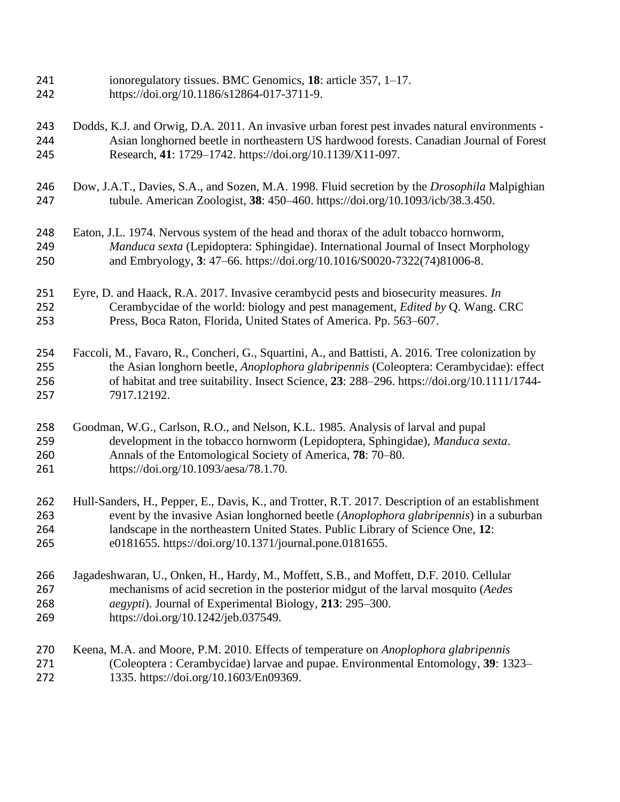- ionoregulatory tissues. BMC Genomics, **18**: article 357, 1–17. https://doi.org/10.1186/s12864-017-3711-9.
- Dodds, K.J. and Orwig, D.A. 2011. An invasive urban forest pest invades natural environments Asian longhorned beetle in northeastern US hardwood forests. Canadian Journal of Forest Research, **41**: 1729–1742. https://doi.org/10.1139/X11-097.
- Dow, J.A.T., Davies, S.A., and Sozen, M.A. 1998. Fluid secretion by the *Drosophila* Malpighian tubule. American Zoologist, **38**: 450–460. https://doi.org/10.1093/icb/38.3.450.
- Eaton, J.L. 1974. Nervous system of the head and thorax of the adult tobacco hornworm, *Manduca sexta* (Lepidoptera: Sphingidae). International Journal of Insect Morphology and Embryology, **3**: 47–66. https://doi.org/10.1016/S0020-7322(74)81006-8.
- Eyre, D. and Haack, R.A. 2017. Invasive cerambycid pests and biosecurity measures. *In* Cerambycidae of the world: biology and pest management, *Edited by* Q. Wang. CRC Press, Boca Raton, Florida, United States of America. Pp. 563–607.
- Faccoli, M., Favaro, R., Concheri, G., Squartini, A., and Battisti, A. 2016. Tree colonization by the Asian longhorn beetle, *Anoplophora glabripennis* (Coleoptera: Cerambycidae): effect of habitat and tree suitability. Insect Science, **23**: 288–296. https://doi.org/10.1111/1744- 7917.12192.
- Goodman, W.G., Carlson, R.O., and Nelson, K.L. 1985. Analysis of larval and pupal development in the tobacco hornworm (Lepidoptera, Sphingidae), *Manduca sexta*. Annals of the Entomological Society of America, **78**: 70–80. https://doi.org/10.1093/aesa/78.1.70.
- Hull-Sanders, H., Pepper, E., Davis, K., and Trotter, R.T. 2017. Description of an establishment event by the invasive Asian longhorned beetle (*Anoplophora glabripennis*) in a suburban landscape in the northeastern United States. Public Library of Science One, **12**: e0181655. https://doi.org/10.1371/journal.pone.0181655.
- Jagadeshwaran, U., Onken, H., Hardy, M., Moffett, S.B., and Moffett, D.F. 2010. Cellular mechanisms of acid secretion in the posterior midgut of the larval mosquito (*Aedes aegypti*). Journal of Experimental Biology, **213**: 295–300. https://doi.org/10.1242/jeb.037549.
- Keena, M.A. and Moore, P.M. 2010. Effects of temperature on *Anoplophora glabripennis*  (Coleoptera : Cerambycidae) larvae and pupae. Environmental Entomology, **39**: 1323– 1335. https://doi.org/10.1603/En09369.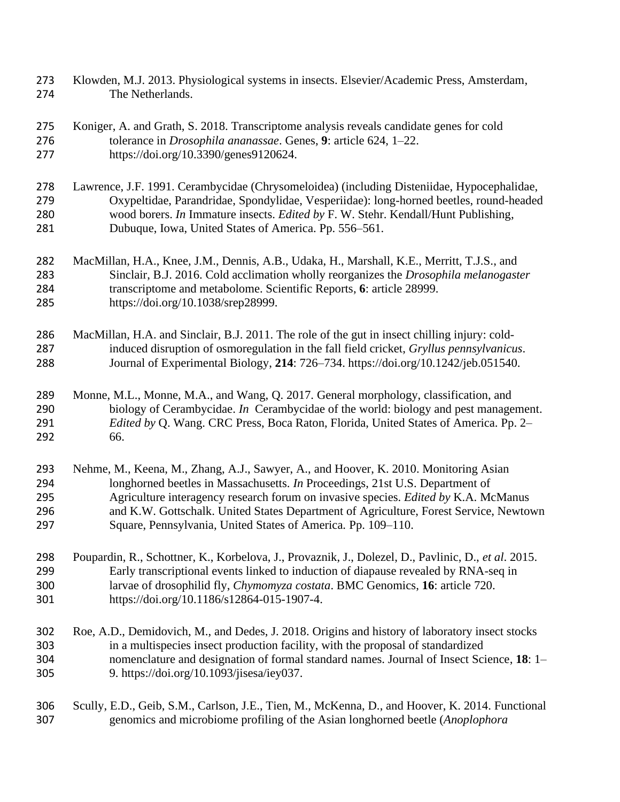- Klowden, M.J. 2013. Physiological systems in insects. Elsevier/Academic Press, Amsterdam, The Netherlands.
- Koniger, A. and Grath, S. 2018. Transcriptome analysis reveals candidate genes for cold tolerance in *Drosophila ananassae*. Genes, **9**: article 624, 1–22. https://doi.org/10.3390/genes9120624.
- Lawrence, J.F. 1991. Cerambycidae (Chrysomeloidea) (including Disteniidae, Hypocephalidae, Oxypeltidae, Parandridae, Spondylidae, Vesperiidae): long-horned beetles, round-headed wood borers. *In* Immature insects. *Edited by* F. W. Stehr. Kendall/Hunt Publishing, Dubuque, Iowa, United States of America. Pp. 556–561.
- MacMillan, H.A., Knee, J.M., Dennis, A.B., Udaka, H., Marshall, K.E., Merritt, T.J.S., and Sinclair, B.J. 2016. Cold acclimation wholly reorganizes the *Drosophila melanogaster* transcriptome and metabolome. Scientific Reports, **6**: article 28999. https://doi.org/10.1038/srep28999.
- MacMillan, H.A. and Sinclair, B.J. 2011. The role of the gut in insect chilling injury: cold- induced disruption of osmoregulation in the fall field cricket, *Gryllus pennsylvanicus*. Journal of Experimental Biology, **214**: 726–734. https://doi.org/10.1242/jeb.051540.
- Monne, M.L., Monne, M.A., and Wang, Q. 2017. General morphology, classification, and biology of Cerambycidae. *In* Cerambycidae of the world: biology and pest management. *Edited by* Q. Wang. CRC Press, Boca Raton, Florida, United States of America. Pp. 2– 66.
- Nehme, M., Keena, M., Zhang, A.J., Sawyer, A., and Hoover, K. 2010. Monitoring Asian longhorned beetles in Massachusetts. *In* Proceedings, 21st U.S. Department of Agriculture interagency research forum on invasive species. *Edited by* K.A. McManus and K.W. Gottschalk. United States Department of Agriculture, Forest Service, Newtown Square, Pennsylvania, United States of America. Pp. 109–110.
- Poupardin, R., Schottner, K., Korbelova, J., Provaznik, J., Dolezel, D., Pavlinic, D., *et al*. 2015. Early transcriptional events linked to induction of diapause revealed by RNA-seq in larvae of drosophilid fly, *Chymomyza costata*. BMC Genomics, **16**: article 720. https://doi.org/10.1186/s12864-015-1907-4.
- Roe, A.D., Demidovich, M., and Dedes, J. 2018. Origins and history of laboratory insect stocks in a multispecies insect production facility, with the proposal of standardized nomenclature and designation of formal standard names. Journal of Insect Science, **18**: 1– 9. https://doi.org/10.1093/jisesa/iey037.
- Scully, E.D., Geib, S.M., Carlson, J.E., Tien, M., McKenna, D., and Hoover, K. 2014. Functional genomics and microbiome profiling of the Asian longhorned beetle (*Anoplophora*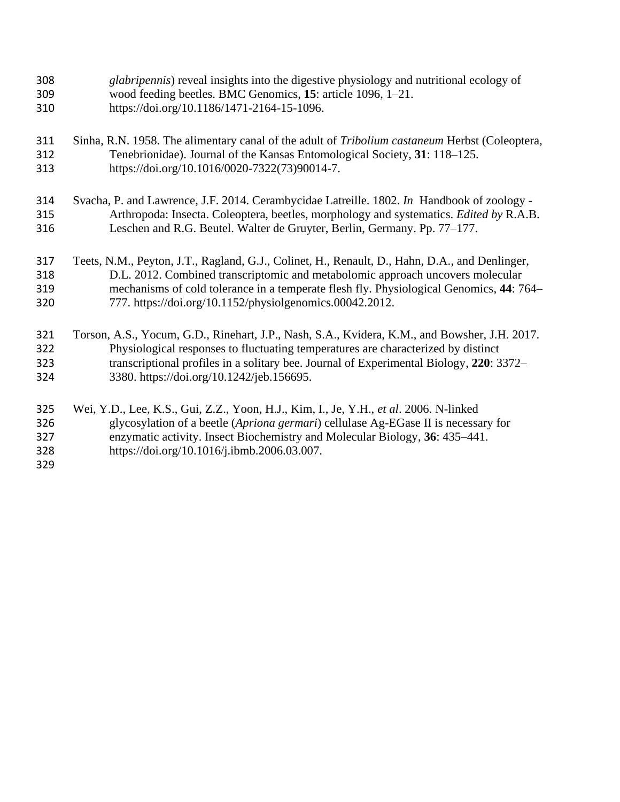| 308                             | glabripennis) reveal insights into the digestive physiology and nutritional ecology of                                                                                                                                                                                                                    |
|---------------------------------|-----------------------------------------------------------------------------------------------------------------------------------------------------------------------------------------------------------------------------------------------------------------------------------------------------------|
| 309                             | wood feeding beetles. BMC Genomics, 15: article 1096, 1-21.                                                                                                                                                                                                                                               |
| 310                             | https://doi.org/10.1186/1471-2164-15-1096.                                                                                                                                                                                                                                                                |
| 311                             | Sinha, R.N. 1958. The alimentary canal of the adult of <i>Tribolium castaneum</i> Herbst (Coleoptera,                                                                                                                                                                                                     |
| 312                             | Tenebrionidae). Journal of the Kansas Entomological Society, 31: 118–125.                                                                                                                                                                                                                                 |
| 313                             | https://doi.org/10.1016/0020-7322(73)90014-7.                                                                                                                                                                                                                                                             |
| 314                             | Svacha, P. and Lawrence, J.F. 2014. Cerambycidae Latreille. 1802. In Handbook of zoology -                                                                                                                                                                                                                |
| 315                             | Arthropoda: Insecta. Coleoptera, beetles, morphology and systematics. Edited by R.A.B.                                                                                                                                                                                                                    |
| 316                             | Leschen and R.G. Beutel. Walter de Gruyter, Berlin, Germany. Pp. 77–177.                                                                                                                                                                                                                                  |
| 317                             | Teets, N.M., Peyton, J.T., Ragland, G.J., Colinet, H., Renault, D., Hahn, D.A., and Denlinger,                                                                                                                                                                                                            |
| 318                             | D.L. 2012. Combined transcriptomic and metabolomic approach uncovers molecular                                                                                                                                                                                                                            |
| 319                             | mechanisms of cold tolerance in a temperate flesh fly. Physiological Genomics, 44: 764–                                                                                                                                                                                                                   |
| 320                             | 777. https://doi.org/10.1152/physiolgenomics.00042.2012.                                                                                                                                                                                                                                                  |
| 321                             | Torson, A.S., Yocum, G.D., Rinehart, J.P., Nash, S.A., Kvidera, K.M., and Bowsher, J.H. 2017.                                                                                                                                                                                                             |
| 322                             | Physiological responses to fluctuating temperatures are characterized by distinct                                                                                                                                                                                                                         |
| 323                             | transcriptional profiles in a solitary bee. Journal of Experimental Biology, 220: 3372–                                                                                                                                                                                                                   |
| 324                             | 3380. https://doi.org/10.1242/jeb.156695.                                                                                                                                                                                                                                                                 |
| 325<br>326<br>327<br>328<br>329 | Wei, Y.D., Lee, K.S., Gui, Z.Z., Yoon, H.J., Kim, I., Je, Y.H., et al. 2006. N-linked<br>glycosylation of a beetle (Apriona germari) cellulase Ag-EGase II is necessary for<br>enzymatic activity. Insect Biochemistry and Molecular Biology, 36: 435–441.<br>https://doi.org/10.1016/j.ibmb.2006.03.007. |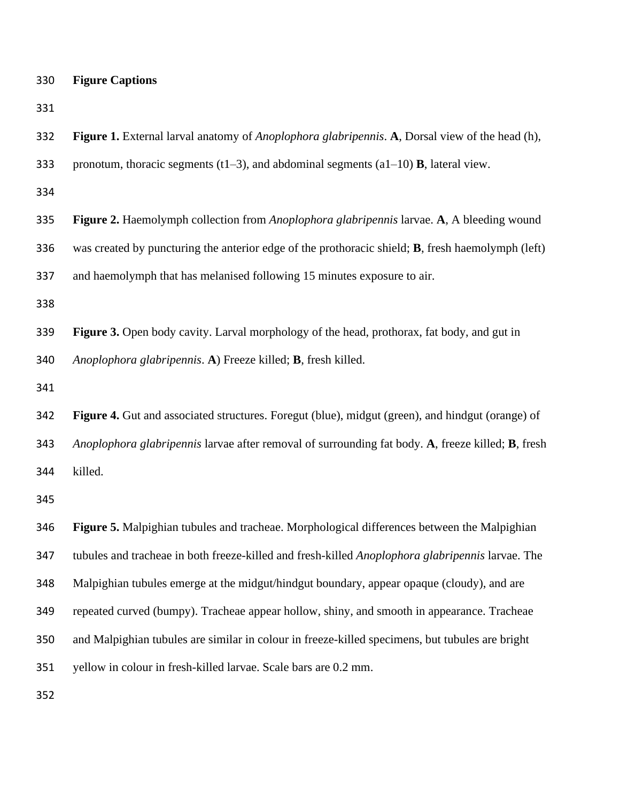| 330 |  | <b>Figure Captions</b> |
|-----|--|------------------------|
|-----|--|------------------------|

| 332 | Figure 1. External larval anatomy of <i>Anoplophora glabripennis</i> . A, Dorsal view of the head (h), |
|-----|--------------------------------------------------------------------------------------------------------|
| 333 | pronotum, thoracic segments (t1–3), and abdominal segments (a1–10) <b>B</b> , lateral view.            |
| 334 |                                                                                                        |
| 335 | Figure 2. Haemolymph collection from <i>Anoplophora glabripennis</i> larvae. A, A bleeding wound       |
| 336 | was created by puncturing the anterior edge of the prothoracic shield; B, fresh haemolymph (left)      |
| 337 | and haemolymph that has melanised following 15 minutes exposure to air.                                |
| 338 |                                                                                                        |
| 339 | <b>Figure 3.</b> Open body cavity. Larval morphology of the head, prothorax, fat body, and gut in      |
| 340 | Anoplophora glabripennis. A) Freeze killed; <b>B</b> , fresh killed.                                   |
| 341 |                                                                                                        |
| 342 | Figure 4. Gut and associated structures. Foregut (blue), midgut (green), and hindgut (orange) of       |
| 343 | Anoplophora glabripennis larvae after removal of surrounding fat body. A, freeze killed; B, fresh      |
| 344 | killed.                                                                                                |
| 345 |                                                                                                        |
| 346 | Figure 5. Malpighian tubules and tracheae. Morphological differences between the Malpighian            |
| 347 | tubules and tracheae in both freeze-killed and fresh-killed Anoplophora glabripennis larvae. The       |
| 348 | Malpighian tubules emerge at the midgut/hindgut boundary, appear opaque (cloudy), and are              |
| 349 | repeated curved (bumpy). Tracheae appear hollow, shiny, and smooth in appearance. Tracheae             |
| 350 | and Malpighian tubules are similar in colour in freeze-killed specimens, but tubules are bright        |
| 351 | yellow in colour in fresh-killed larvae. Scale bars are 0.2 mm.                                        |
| 352 |                                                                                                        |
|     |                                                                                                        |